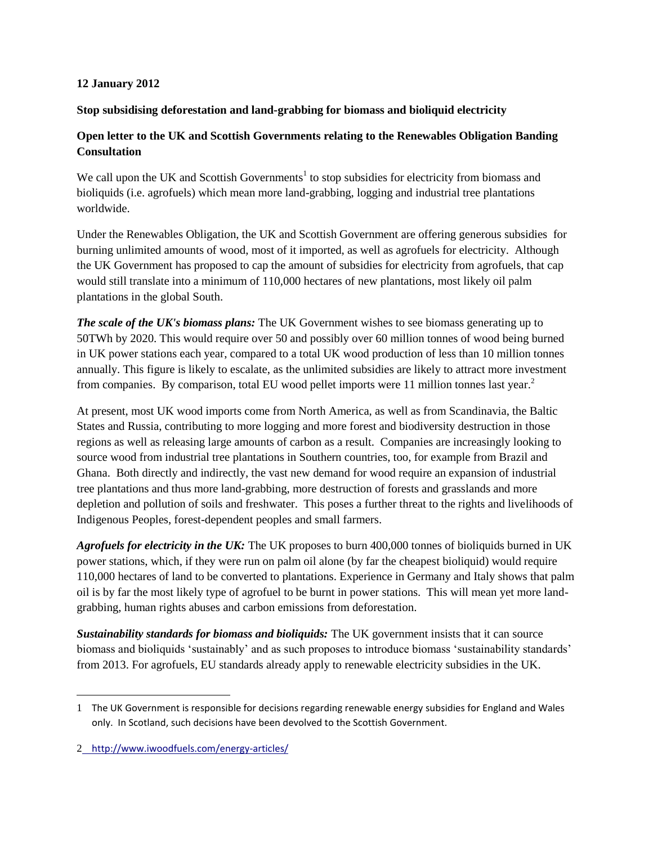## **12 January 2012**

## **Stop subsidising deforestation and land-grabbing for biomass and bioliquid electricity**

## **Open letter to the UK and Scottish Governments relating to the Renewables Obligation Banding Consultation**

We call upon the UK and Scottish Governments<sup>1</sup> to stop subsidies for electricity from biomass and bioliquids (i.e. agrofuels) which mean more land-grabbing, logging and industrial tree plantations worldwide.

Under the Renewables Obligation, the UK and Scottish Government are offering generous subsidies for burning unlimited amounts of wood, most of it imported, as well as agrofuels for electricity. Although the UK Government has proposed to cap the amount of subsidies for electricity from agrofuels, that cap would still translate into a minimum of 110,000 hectares of new plantations, most likely oil palm plantations in the global South.

*The scale of the UK's biomass plans:* The UK Government wishes to see biomass generating up to 50TWh by 2020. This would require over 50 and possibly over 60 million tonnes of wood being burned in UK power stations each year, compared to a total UK wood production of less than 10 million tonnes annually. This figure is likely to escalate, as the unlimited subsidies are likely to attract more investment from companies. By comparison, total EU wood pellet imports were 11 million tonnes last year.<sup>2</sup>

At present, most UK wood imports come from North America, as well as from Scandinavia, the Baltic States and Russia, contributing to more logging and more forest and biodiversity destruction in those regions as well as releasing large amounts of carbon as a result. Companies are increasingly looking to source wood from industrial tree plantations in Southern countries, too, for example from Brazil and Ghana. Both directly and indirectly, the vast new demand for wood require an expansion of industrial tree plantations and thus more land-grabbing, more destruction of forests and grasslands and more depletion and pollution of soils and freshwater. This poses a further threat to the rights and livelihoods of Indigenous Peoples, forest-dependent peoples and small farmers.

*Agrofuels for electricity in the UK:* The UK proposes to burn 400,000 tonnes of bioliquids burned in UK power stations, which, if they were run on palm oil alone (by far the cheapest bioliquid) would require 110,000 hectares of land to be converted to plantations. Experience in Germany and Italy shows that palm oil is by far the most likely type of agrofuel to be burnt in power stations. This will mean yet more landgrabbing, human rights abuses and carbon emissions from deforestation.

*Sustainability standards for biomass and bioliquids:* The UK government insists that it can source biomass and bioliquids 'sustainably' and as such proposes to introduce biomass 'sustainability standards' from 2013. For agrofuels, EU standards already apply to renewable electricity subsidies in the UK.

 $\overline{\phantom{a}}$ 

<sup>1</sup> The UK Government is responsible for decisions regarding renewable energy subsidies for England and Wales only. In Scotland, such decisions have been devolved to the Scottish Government.

<sup>2</sup> <http://www.iwoodfuels.com/energy-articles/>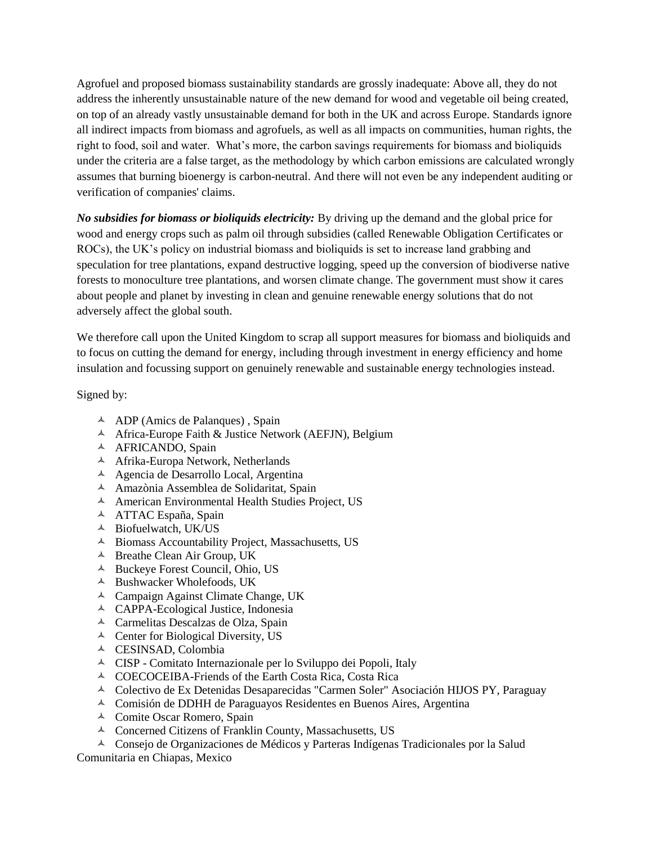Agrofuel and proposed biomass sustainability standards are grossly inadequate: Above all, they do not address the inherently unsustainable nature of the new demand for wood and vegetable oil being created, on top of an already vastly unsustainable demand for both in the UK and across Europe. Standards ignore all indirect impacts from biomass and agrofuels, as well as all impacts on communities, human rights, the right to food, soil and water. What's more, the carbon savings requirements for biomass and bioliquids under the criteria are a false target, as the methodology by which carbon emissions are calculated wrongly assumes that burning bioenergy is carbon-neutral. And there will not even be any independent auditing or verification of companies' claims.

*No subsidies for biomass or bioliquids electricity:* By driving up the demand and the global price for wood and energy crops such as palm oil through subsidies (called Renewable Obligation Certificates or ROCs), the UK's policy on industrial biomass and bioliquids is set to increase land grabbing and speculation for tree plantations, expand destructive logging, speed up the conversion of biodiverse native forests to monoculture tree plantations, and worsen climate change. The government must show it cares about people and planet by investing in clean and genuine renewable energy solutions that do not adversely affect the global south.

We therefore call upon the United Kingdom to scrap all support measures for biomass and bioliquids and to focus on cutting the demand for energy, including through investment in energy efficiency and home insulation and focussing support on genuinely renewable and sustainable energy technologies instead.

Signed by:

- $\triangle$  ADP (Amics de Palanques), Spain
- $\triangle$  Africa-Europe Faith & Justice Network (AEFJN), Belgium
- A AFRICANDO, Spain
- Afrika-Europa Network, Netherlands
- Agencia de Desarrollo Local, Argentina
- Amazònia Assemblea de Solidaritat, Spain
- American Environmental Health Studies Project, US
- ATTAC España, Spain
- Biofuelwatch, UK/US
- $\triangle$  Biomass Accountability Project, Massachusetts, US
- $\triangle$  Breathe Clean Air Group, UK
- Buckeye Forest Council, Ohio, US
- $\triangle$  Bushwacker Wholefoods, UK
- Campaign Against Climate Change, UK
- CAPPA-Ecological Justice, Indonesia
- Carmelitas Descalzas de Olza, Spain
- $\triangle$  Center for Biological Diversity, US
- CESINSAD, Colombia
- CISP Comitato Internazionale per lo Sviluppo dei Popoli, Italy
- $\triangle$  COECOCEIBA-Friends of the Earth Costa Rica, Costa Rica
- Colectivo de Ex Detenidas Desaparecidas "Carmen Soler" Asociación HIJOS PY, Paraguay
- Comisión de DDHH de Paraguayos Residentes en Buenos Aires, Argentina
- Comite Oscar Romero, Spain
- Concerned Citizens of Franklin County, Massachusetts, US

 Consejo de Organizaciones de Médicos y Parteras Indígenas Tradicionales por la Salud Comunitaria en Chiapas, Mexico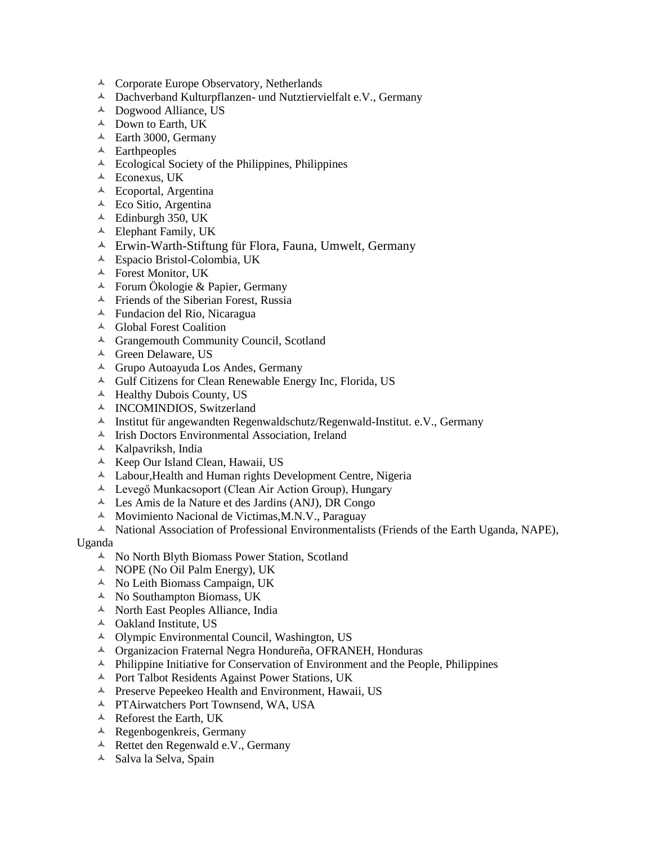- <sup> $\triangle$ </sup> Corporate Europe Observatory, Netherlands
- Dachverband Kulturpflanzen- und Nutztiervielfalt e.V., Germany
- Dogwood Alliance, US
- Down to Earth, UK
- <sup> $\triangle$ </sup> Earth 3000, Germany
- $\triangle$  Earthpeoples
- $\triangle$  Ecological Society of the Philippines, Philippines
- Econexus, UK
- Ecoportal, Argentina
- $\triangle$  Eco Sitio, Argentina
- $\triangle$  Edinburgh 350, UK
- Elephant Family, UK
- Erwin-Warth-Stiftung für Flora, Fauna, Umwelt, Germany
- Espacio Bristol-Colombia, UK
- Forest Monitor, UK
- Forum Ökologie & Papier, Germany
- $\triangle$  Friends of the Siberian Forest, Russia
- Fundacion del Rio, Nicaragua
- Global Forest Coalition
- Grangemouth Community Council, Scotland
- <sup> $\triangle$ </sup> Green Delaware, US
- Grupo Autoayuda Los Andes, Germany
- Gulf Citizens for Clean Renewable Energy Inc, Florida, US
- $\triangle$  Healthy Dubois County, US
- <sup>A</sup> INCOMINDIOS, Switzerland
- $\lambda$  Institut für angewandten Regenwaldschutz/Regenwald-Institut. e.V., Germany
- $\triangle$  Irish Doctors Environmental Association, Ireland
- $\triangle$  Kalpavriksh, India
- A Keep Our Island Clean, Hawaii, US
- Labour,Health and Human rights Development Centre, Nigeria
- Levegő Munkacsoport (Clean Air Action Group), Hungary
- $\triangle$  Les Amis de la Nature et des Jardins (ANJ), DR Congo
- $\triangle$  Movimiento Nacional de Victimas, M.N.V., Paraguay
- $\uparrow$  National Association of Professional Environmentalists (Friends of the Earth Uganda, NAPE),

## Uganda

- A No North Blyth Biomass Power Station, Scotland
- $\triangle$  NOPE (No Oil Palm Energy), UK
- $\triangle$  No Leith Biomass Campaign, UK
- $\triangle$  No Southampton Biomass, UK
- <sup> $\triangle$ </sup> North East Peoples Alliance, India
- Oakland Institute, US
- Olympic Environmental Council, Washington, US
- Organizacion Fraternal Negra Hondureña, OFRANEH, Honduras
- $\blacktriangle$  Philippine Initiative for Conservation of Environment and the People, Philippines
- Port Talbot Residents Against Power Stations, UK
- $\triangle$  Preserve Pepeekeo Health and Environment, Hawaii, US
- PTAirwatchers Port Townsend, WA, USA
- $\triangle$  Reforest the Earth, UK
- Regenbogenkreis, Germany
- Rettet den Regenwald e.V., Germany
- $\triangle$  Salva la Selva, Spain